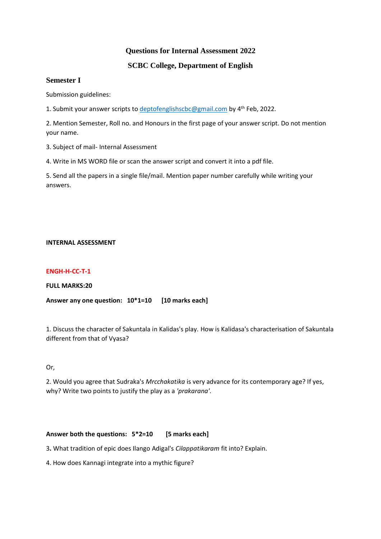# **Questions for Internal Assessment 2022**

# **SCBC College, Department of English**

# **Semester I**

Submission guidelines:

1. Submit your answer scripts to [deptofenglishscbc@gmail.com](mailto:deptofenglishscbc@gmail.com) by 4<sup>th</sup> Feb, 2022.

2. Mention Semester, Roll no. and Honours in the first page of your answer script. Do not mention your name.

3. Subject of mail- Internal Assessment

4. Write in MS WORD file or scan the answer script and convert it into a pdf file.

5. Send all the papers in a single file/mail. Mention paper number carefully while writing your answers.

### **INTERNAL ASSESSMENT**

## **ENGH-H-CC-T-1**

**FULL MARKS:20**

**Answer any one question: 10\*1=10 [10 marks each]**

1. Discuss the character of Sakuntala in Kalidas's play. How is Kalidasa's characterisation of Sakuntala different from that of Vyasa?

Or,

2. Would you agree that Sudraka's *Mrcchakatika* is very advance for its contemporary age? If yes, why? Write two points to justify the play as a *'prakarana'*.

# **Answer both the questions: 5\*2=10 [5 marks each]**

3**.** What tradition of epic does Ilango Adigal's *Cilappatikaram* fit into? Explain.

4. How does Kannagi integrate into a mythic figure?